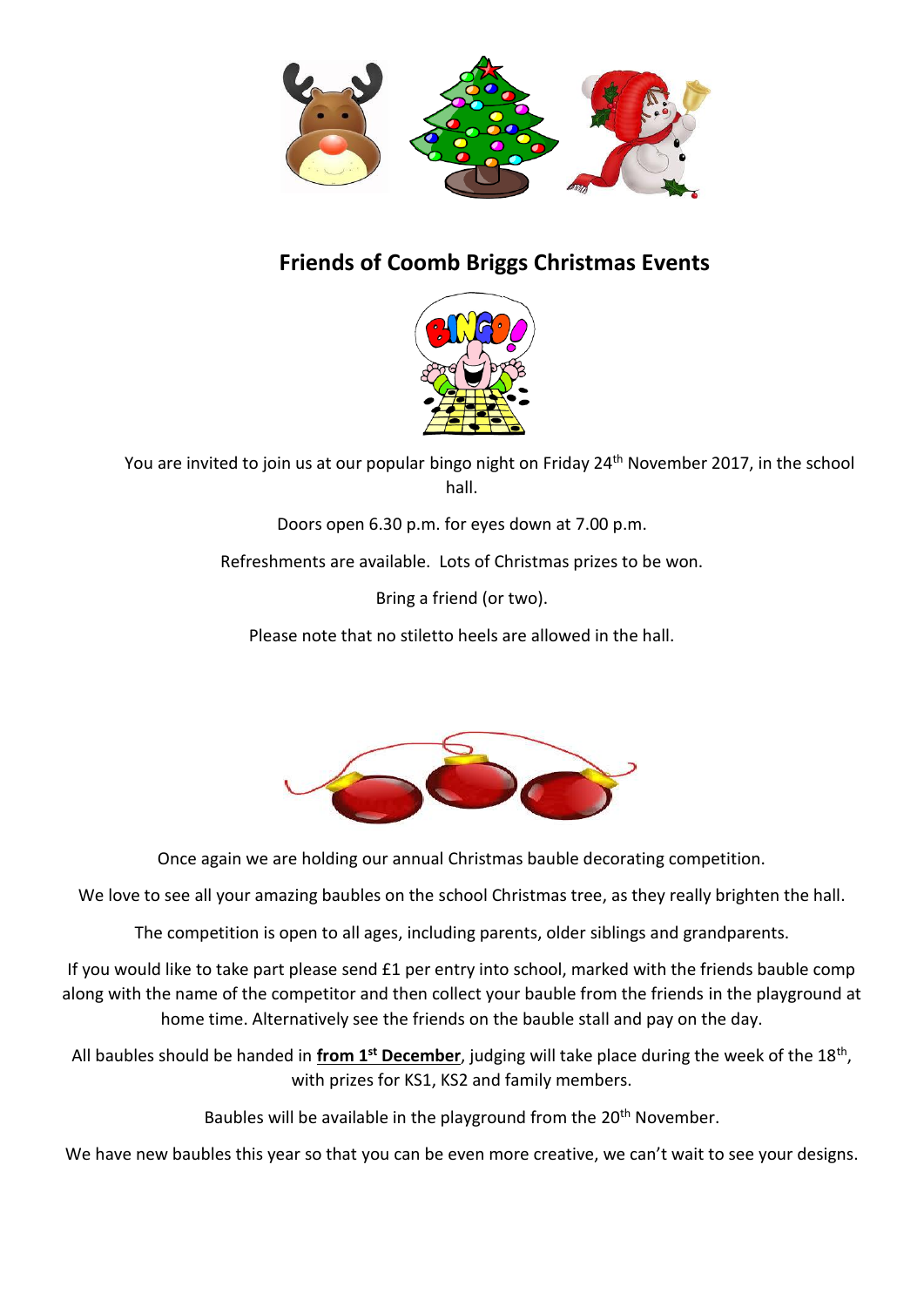

## **Friends of Coomb Briggs Christmas Events**



You are invited to join us at our popular bingo night on Friday 24<sup>th</sup> November 2017, in the school hall.

Doors open 6.30 p.m. for eyes down at 7.00 p.m.

Refreshments are available. Lots of Christmas prizes to be won.

Bring a friend (or two).

Please note that no stiletto heels are allowed in the hall.



Once again we are holding our annual Christmas bauble decorating competition.

We love to see all your amazing baubles on the school Christmas tree, as they really brighten the hall.

The competition is open to all ages, including parents, older siblings and grandparents.

If you would like to take part please send £1 per entry into school, marked with the friends bauble comp along with the name of the competitor and then collect your bauble from the friends in the playground at home time. Alternatively see the friends on the bauble stall and pay on the day.

All baubles should be handed in **from 1st December**, judging will take place during the week of the 18th , with prizes for KS1, KS2 and family members.

Baubles will be available in the playground from the 20<sup>th</sup> November.

We have new baubles this year so that you can be even more creative, we can't wait to see your designs.